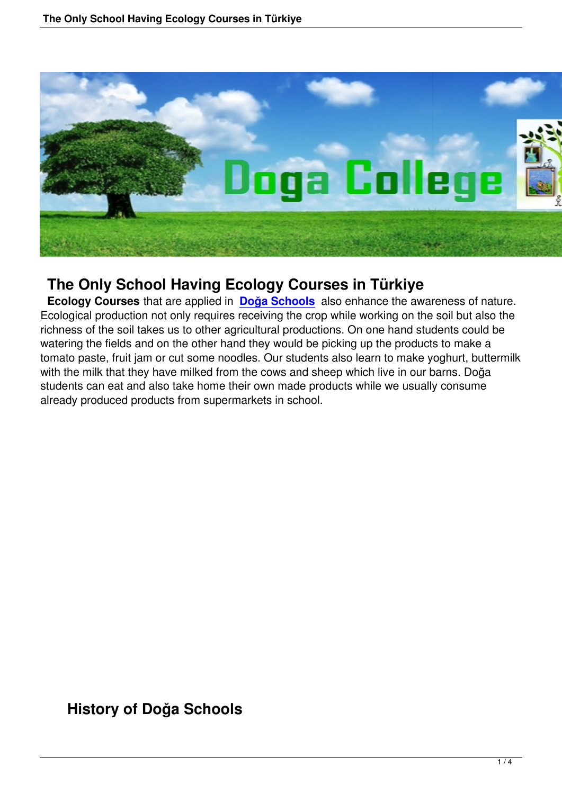

# **The Only School Having Ecology Courses in Türkiye**

 **Ecology Courses** that are applied in **Doğa Schools** also enhance the awareness of nature. Ecological production not only requires receiving the crop while working on the soil but also the richness of the soil takes us to other agricultural productions. On one hand students could be watering the fields and on the other han[d they would be](http://www.dogacollege.com/) picking up the products to make a tomato paste, fruit jam or cut some noodles. Our students also learn to make yoghurt, buttermilk with the milk that they have milked from the cows and sheep which live in our barns. Doğa students can eat and also take home their own made products while we usually consume already produced products from supermarkets in school.

**History of Doğa Schools**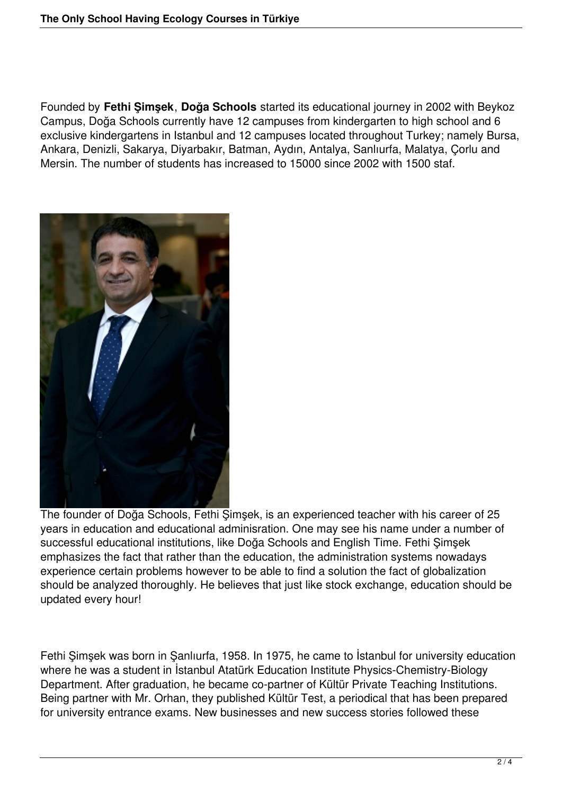Founded by **Fethi Şimşek**, **Doğa Schools** started its educational journey in 2002 with Beykoz Campus, Doğa Schools currently have 12 campuses from kindergarten to high school and 6 exclusive kindergartens in Istanbul and 12 campuses located throughout Turkey; namely Bursa, Ankara, Denizli, Sakarya, Diyarbakır, Batman, Aydın, Antalya, Sanlıurfa, Malatya, Çorlu and Mersin. The number of students has increased to 15000 since 2002 with 1500 staf.



The founder of Doğa Schools, Fethi Şimşek, is an experienced teacher with his career of 25 years in education and educational adminisration. One may see his name under a number of successful educational institutions, like Doğa Schools and English Time. Fethi Şimşek emphasizes the fact that rather than the education, the administration systems nowadays experience certain problems however to be able to find a solution the fact of globalization should be analyzed thoroughly. He believes that just like stock exchange, education should be updated every hour!

Fethi Şimşek was born in Şanlıurfa, 1958. In 1975, he came to İstanbul for university education where he was a student in Istanbul Atatürk Education Institute Physics-Chemistry-Biology Department. After graduation, he became co-partner of Kültür Private Teaching Institutions. Being partner with Mr. Orhan, they published Kültür Test, a periodical that has been prepared for university entrance exams. New businesses and new success stories followed these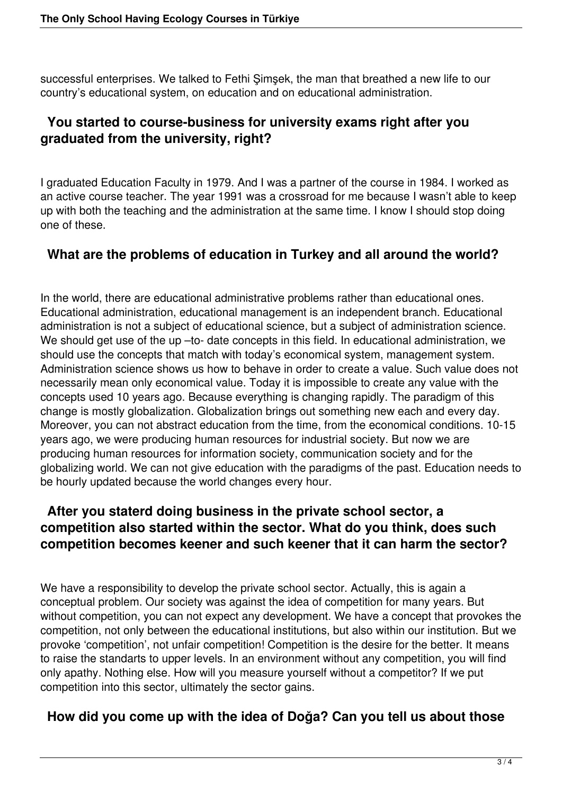successful enterprises. We talked to Fethi Şimşek, the man that breathed a new life to our country's educational system, on education and on educational administration.

### **You started to course-business for university exams right after you graduated from the university, right?**

I graduated Education Faculty in 1979. And I was a partner of the course in 1984. I worked as an active course teacher. The year 1991 was a crossroad for me because I wasn't able to keep up with both the teaching and the administration at the same time. I know I should stop doing one of these.

#### **What are the problems of education in Turkey and all around the world?**

In the world, there are educational administrative problems rather than educational ones. Educational administration, educational management is an independent branch. Educational administration is not a subject of educational science, but a subject of administration science. We should get use of the up -to- date concepts in this field. In educational administration, we should use the concepts that match with today's economical system, management system. Administration science shows us how to behave in order to create a value. Such value does not necessarily mean only economical value. Today it is impossible to create any value with the concepts used 10 years ago. Because everything is changing rapidly. The paradigm of this change is mostly globalization. Globalization brings out something new each and every day. Moreover, you can not abstract education from the time, from the economical conditions. 10-15 years ago, we were producing human resources for industrial society. But now we are producing human resources for information society, communication society and for the globalizing world. We can not give education with the paradigms of the past. Education needs to be hourly updated because the world changes every hour.

### **After you staterd doing business in the private school sector, a competition also started within the sector. What do you think, does such competition becomes keener and such keener that it can harm the sector?**

We have a responsibility to develop the private school sector. Actually, this is again a conceptual problem. Our society was against the idea of competition for many years. But without competition, you can not expect any development. We have a concept that provokes the competition, not only between the educational institutions, but also within our institution. But we provoke 'competition', not unfair competition! Competition is the desire for the better. It means to raise the standarts to upper levels. In an environment without any competition, you will find only apathy. Nothing else. How will you measure yourself without a competitor? If we put competition into this sector, ultimately the sector gains.

## **How did you come up with the idea of Doğa? Can you tell us about those**